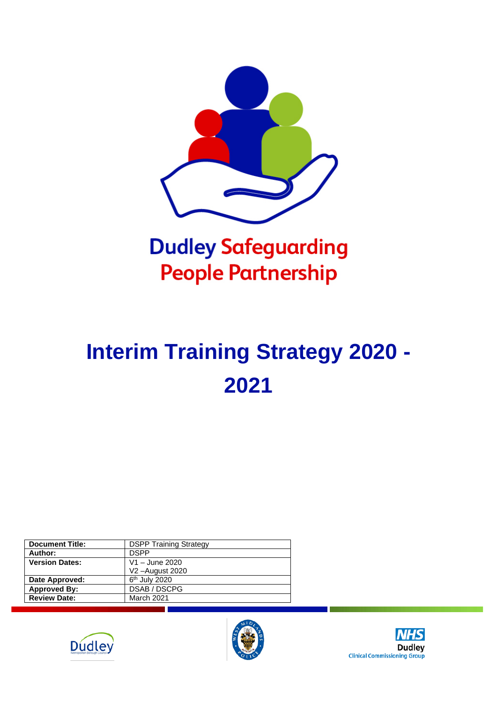

## **Dudley Safeguarding People Partnership**

# **Interim Training Strategy 2020 - 2021**

| <b>Document Title:</b> | <b>DSPP Training Strategy</b> |
|------------------------|-------------------------------|
| Author:                | <b>DSPP</b>                   |
| <b>Version Dates:</b>  | V1 - June 2020                |
|                        | V2-August 2020                |
| Date Approved:         | 6 <sup>th</sup> July 2020     |
| <b>Approved By:</b>    | <b>DSAB / DSCPG</b>           |
| <b>Review Date:</b>    | March 2021                    |
|                        |                               |





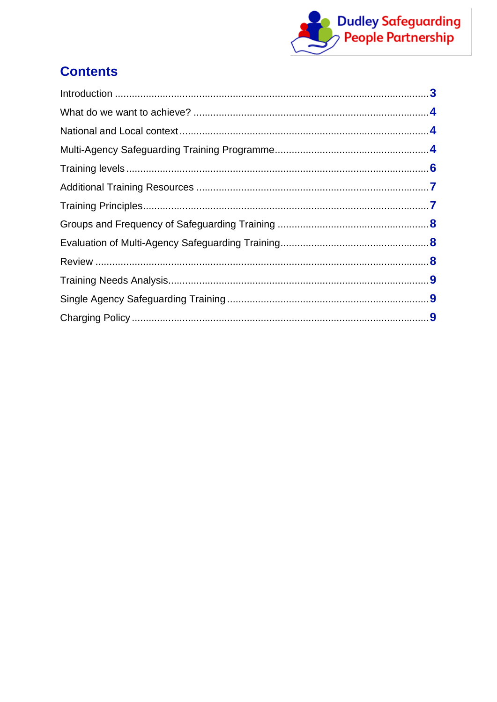

## **Contents**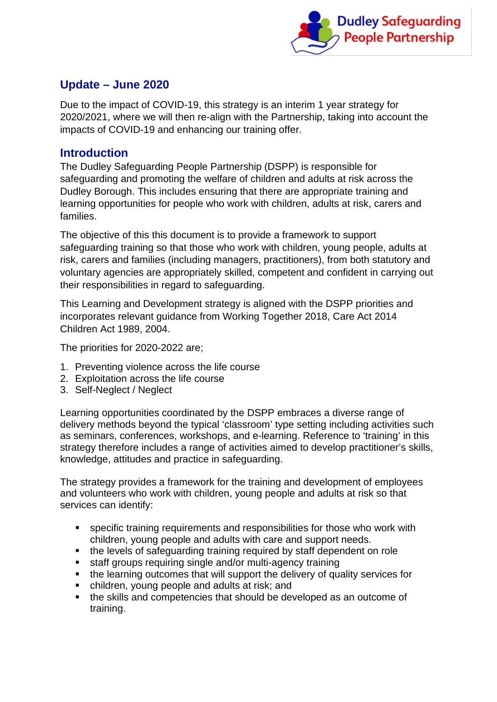

#### **Update – June 2020**

Due to the impact of COVID-19, this strategy is an interim 1 year strategy for 2020/2021, where we will then re-align with the Partnership, taking into account the impacts of COVID-19 and enhancing our training offer.

#### <span id="page-2-0"></span>**Introduction**

The Dudley Safeguarding People Partnership (DSPP) is responsible for safeguarding and promoting the welfare of children and adults at risk across the Dudley Borough. This includes ensuring that there are appropriate training and learning opportunities for people who work with children, adults at risk, carers and families.

The objective of this this document is to provide a framework to support safeguarding training so that those who work with children, young people, adults at risk, carers and families (including managers, practitioners), from both statutory and voluntary agencies are appropriately skilled, competent and confident in carrying out their responsibilities in regard to safeguarding.

This Learning and Development strategy is aligned with the DSPP priorities and incorporates relevant guidance from Working Together 2018, Care Act 2014 Children Act 1989, 2004.

The priorities for 2020-2022 are;

- 1. Preventing violence across the life course
- 2. Exploitation across the life course
- 3. Self-Neglect / Neglect

Learning opportunities coordinated by the DSPP embraces a diverse range of delivery methods beyond the typical 'classroom' type setting including activities such as seminars, conferences, workshops, and e-learning. Reference to 'training' in this strategy therefore includes a range of activities aimed to develop practitioner's skills, knowledge, attitudes and practice in safeguarding.

The strategy provides a framework for the training and development of employees and volunteers who work with children, young people and adults at risk so that services can identify:

- specific training requirements and responsibilities for those who work with children, young people and adults with care and support needs.
- the levels of safeguarding training required by staff dependent on role
- staff groups requiring single and/or multi-agency training
- the learning outcomes that will support the delivery of quality services for
- children, young people and adults at risk; and
- the skills and competencies that should be developed as an outcome of training.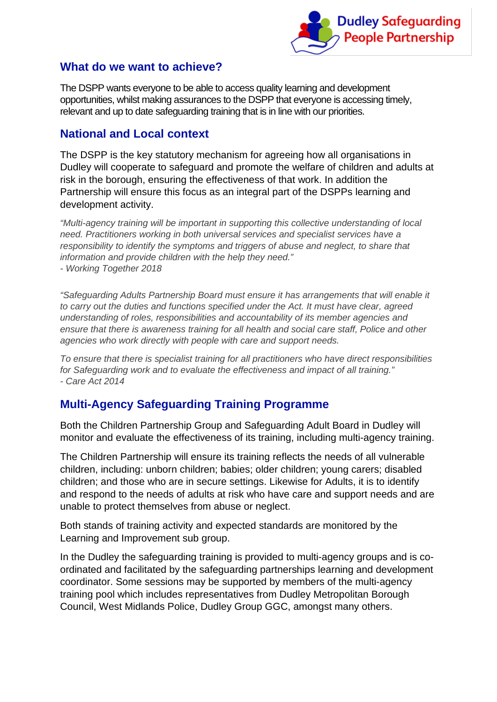

#### <span id="page-3-0"></span>**What do we want to achieve?**

The DSPP wants everyone to be able to access quality learning and development opportunities, whilst making assurances to the DSPP that everyone is accessing timely, relevant and up to date safeguarding training that is in line with our priorities.

#### <span id="page-3-1"></span>**National and Local context**

The DSPP is the key statutory mechanism for agreeing how all organisations in Dudley will cooperate to safeguard and promote the welfare of children and adults at risk in the borough, ensuring the effectiveness of that work. In addition the Partnership will ensure this focus as an integral part of the DSPPs learning and development activity.

*"Multi-agency training will be important in supporting this collective understanding of local need. Practitioners working in both universal services and specialist services have a responsibility to identify the symptoms and triggers of abuse and neglect, to share that information and provide children with the help they need." - Working Together 2018*

*"Safeguarding Adults Partnership Board must ensure it has arrangements that will enable it to carry out the duties and functions specified under the Act. It must have clear, agreed understanding of roles, responsibilities and accountability of its member agencies and ensure that there is awareness training for all health and social care staff, Police and other agencies who work directly with people with care and support needs.* 

*To ensure that there is specialist training for all practitioners who have direct responsibilities for Safeguarding work and to evaluate the effectiveness and impact of all training." - Care Act 2014*

## <span id="page-3-2"></span>**Multi-Agency Safeguarding Training Programme**

Both the Children Partnership Group and Safeguarding Adult Board in Dudley will monitor and evaluate the effectiveness of its training, including multi-agency training.

The Children Partnership will ensure its training reflects the needs of all vulnerable children, including: unborn children; babies; older children; young carers; disabled children; and those who are in secure settings. Likewise for Adults, it is to identify and respond to the needs of adults at risk who have care and support needs and are unable to protect themselves from abuse or neglect.

Both stands of training activity and expected standards are monitored by the Learning and Improvement sub group.

In the Dudley the safeguarding training is provided to multi-agency groups and is coordinated and facilitated by the safeguarding partnerships learning and development coordinator. Some sessions may be supported by members of the multi-agency training pool which includes representatives from Dudley Metropolitan Borough Council, West Midlands Police, Dudley Group GGC, amongst many others.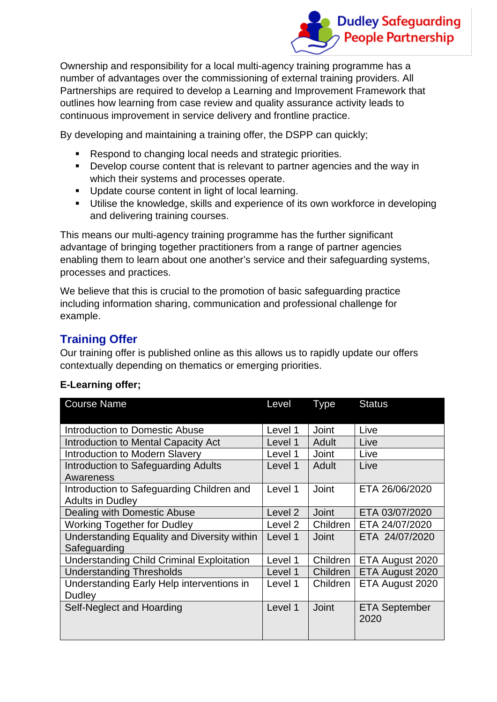

Ownership and responsibility for a local multi-agency training programme has a number of advantages over the commissioning of external training providers. All Partnerships are required to develop a Learning and Improvement Framework that outlines how learning from case review and quality assurance activity leads to continuous improvement in service delivery and frontline practice.

By developing and maintaining a training offer, the DSPP can quickly;

- Respond to changing local needs and strategic priorities.
- Develop course content that is relevant to partner agencies and the way in which their systems and processes operate.
- **Update course content in light of local learning.**
- **Utilise the knowledge, skills and experience of its own workforce in developing** and delivering training courses.

This means our multi-agency training programme has the further significant advantage of bringing together practitioners from a range of partner agencies enabling them to learn about one another's service and their safeguarding systems, processes and practices.

We believe that this is crucial to the promotion of basic safeguarding practice including information sharing, communication and professional challenge for example.

### **Training Offer**

Our training offer is published online as this allows us to rapidly update our offers contextually depending on thematics or emerging priorities.

| <b>Course Name</b>                                                   | Level   | <b>Type</b>  | <b>Status</b>                |
|----------------------------------------------------------------------|---------|--------------|------------------------------|
| Introduction to Domestic Abuse                                       | Level 1 | <b>Joint</b> | Live                         |
| Introduction to Mental Capacity Act                                  | Level 1 | Adult        | Live                         |
| <b>Introduction to Modern Slavery</b>                                | Level 1 | Joint        | Live                         |
| Introduction to Safeguarding Adults<br>Awareness                     | Level 1 | Adult        | Live                         |
| Introduction to Safeguarding Children and<br><b>Adults in Dudley</b> | Level 1 | Joint        | ETA 26/06/2020               |
| Dealing with Domestic Abuse                                          | Level 2 | <b>Joint</b> | ETA 03/07/2020               |
| <b>Working Together for Dudley</b>                                   | Level 2 | Children     | ETA 24/07/2020               |
| Understanding Equality and Diversity within<br>Safeguarding          | Level 1 | Joint        | ETA 24/07/2020               |
| <b>Understanding Child Criminal Exploitation</b>                     | Level 1 | Children     | ETA August 2020              |
| <b>Understanding Thresholds</b>                                      | Level 1 | Children     | ETA August 2020              |
| Understanding Early Help interventions in<br><b>Dudley</b>           | Level 1 | Children     | ETA August 2020              |
| Self-Neglect and Hoarding                                            | Level 1 | <b>Joint</b> | <b>ETA September</b><br>2020 |

#### **E-Learning offer;**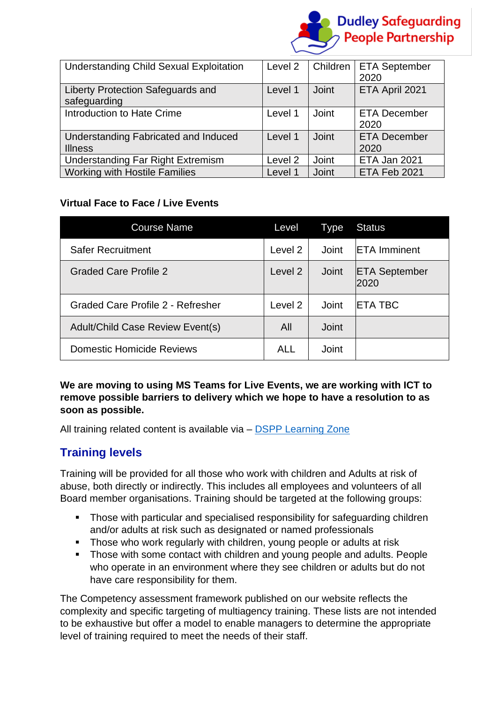

| <b>Understanding Child Sexual Exploitation</b>         | Level 2 | Children | <b>ETA September</b><br>2020 |
|--------------------------------------------------------|---------|----------|------------------------------|
| Liberty Protection Safeguards and<br>safeguarding      | Level 1 | Joint    | ETA April 2021               |
| Introduction to Hate Crime                             | Level 1 | Joint    | <b>ETA December</b><br>2020  |
| Understanding Fabricated and Induced<br><b>Illness</b> | Level 1 | Joint    | <b>ETA December</b><br>2020  |
| <b>Understanding Far Right Extremism</b>               | Level 2 | Joint    | ETA Jan 2021                 |
| <b>Working with Hostile Families</b>                   | Level 1 | Joint    | ETA Feb 2021                 |

#### **Virtual Face to Face / Live Events**

| <b>Course Name</b>                | Level      | <b>Type</b>  | <b>Status</b>                |
|-----------------------------------|------------|--------------|------------------------------|
| <b>Safer Recruitment</b>          | Level 2    | Joint        | <b>IETA Imminent</b>         |
| <b>Graded Care Profile 2</b>      | Level 2    | Joint        | <b>ETA September</b><br>2020 |
| Graded Care Profile 2 - Refresher | Level 2    | Joint        | <b>IETA TBC</b>              |
| Adult/Child Case Review Event(s)  | All        | <b>Joint</b> |                              |
| <b>Domestic Homicide Reviews</b>  | <b>ALL</b> | <b>Joint</b> |                              |

**We are moving to using MS Teams for Live Events, we are working with ICT to remove possible barriers to delivery which we hope to have a resolution to as soon as possible.**

All training related content is available via – [DSPP Learning Zone](https://safeguarding.dudley.gov.uk/safeguarding/learning-zone/)

#### <span id="page-5-0"></span>**Training levels**

Training will be provided for all those who work with children and Adults at risk of abuse, both directly or indirectly. This includes all employees and volunteers of all Board member organisations. Training should be targeted at the following groups:

- Those with particular and specialised responsibility for safeguarding children and/or adults at risk such as designated or named professionals
- **Those who work regularly with children, young people or adults at risk**
- Those with some contact with children and young people and adults. People who operate in an environment where they see children or adults but do not have care responsibility for them.

The Competency assessment framework published on our website reflects the complexity and specific targeting of multiagency training. These lists are not intended to be exhaustive but offer a model to enable managers to determine the appropriate level of training required to meet the needs of their staff.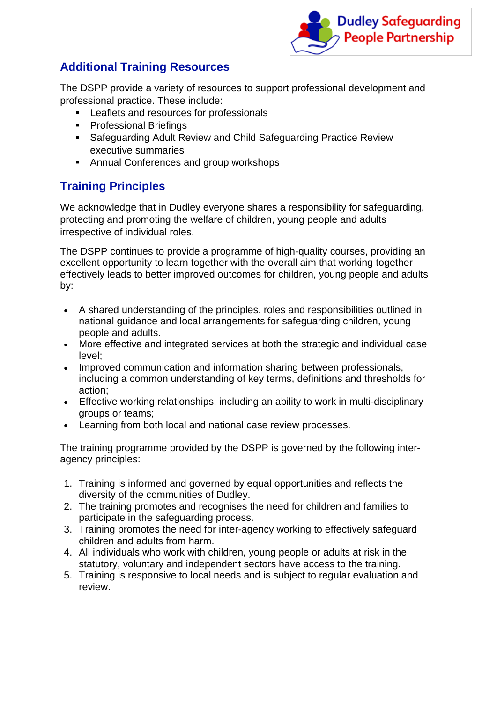

## <span id="page-6-0"></span>**Additional Training Resources**

The DSPP provide a variety of resources to support professional development and professional practice. These include:

- **Leaflets and resources for professionals**
- **Professional Briefings**
- Safeguarding Adult Review and Child Safeguarding Practice Review executive summaries
- **Annual Conferences and group workshops**

## <span id="page-6-1"></span>**Training Principles**

We acknowledge that in Dudley everyone shares a responsibility for safeguarding, protecting and promoting the welfare of children, young people and adults irrespective of individual roles.

The DSPP continues to provide a programme of high-quality courses, providing an excellent opportunity to learn together with the overall aim that working together effectively leads to better improved outcomes for children, young people and adults by:

- A shared understanding of the principles, roles and responsibilities outlined in national guidance and local arrangements for safeguarding children, young people and adults.
- More effective and integrated services at both the strategic and individual case level;
- Improved communication and information sharing between professionals, including a common understanding of key terms, definitions and thresholds for action;
- Effective working relationships, including an ability to work in multi-disciplinary groups or teams;
- Learning from both local and national case review processes.

The training programme provided by the DSPP is governed by the following interagency principles:

- 1. Training is informed and governed by equal opportunities and reflects the diversity of the communities of Dudley.
- 2. The training promotes and recognises the need for children and families to participate in the safeguarding process.
- 3. Training promotes the need for inter-agency working to effectively safeguard children and adults from harm.
- 4. All individuals who work with children, young people or adults at risk in the statutory, voluntary and independent sectors have access to the training.
- 5. Training is responsive to local needs and is subject to regular evaluation and review.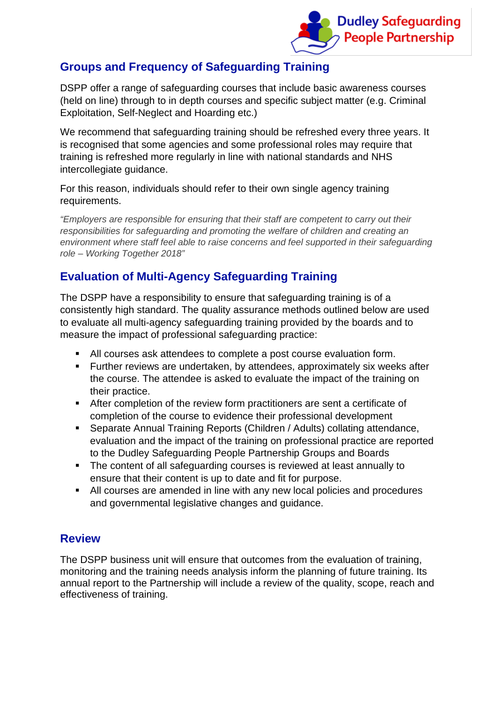

## <span id="page-7-0"></span>**Groups and Frequency of Safeguarding Training**

DSPP offer a range of safeguarding courses that include basic awareness courses (held on line) through to in depth courses and specific subject matter (e.g. Criminal Exploitation, Self-Neglect and Hoarding etc.)

We recommend that safeguarding training should be refreshed every three years. It is recognised that some agencies and some professional roles may require that training is refreshed more regularly in line with national standards and NHS intercollegiate guidance.

For this reason, individuals should refer to their own single agency training requirements.

*"Employers are responsible for ensuring that their staff are competent to carry out their responsibilities for safeguarding and promoting the welfare of children and creating an environment where staff feel able to raise concerns and feel supported in their safeguarding role – Working Together 2018"*

### <span id="page-7-1"></span>**Evaluation of Multi-Agency Safeguarding Training**

The DSPP have a responsibility to ensure that safeguarding training is of a consistently high standard. The quality assurance methods outlined below are used to evaluate all multi-agency safeguarding training provided by the boards and to measure the impact of professional safeguarding practice:

- All courses ask attendees to complete a post course evaluation form.
- **Further reviews are undertaken, by attendees, approximately six weeks after** the course. The attendee is asked to evaluate the impact of the training on their practice.
- After completion of the review form practitioners are sent a certificate of completion of the course to evidence their professional development
- Separate Annual Training Reports (Children / Adults) collating attendance, evaluation and the impact of the training on professional practice are reported to the Dudley Safeguarding People Partnership Groups and Boards
- The content of all safeguarding courses is reviewed at least annually to ensure that their content is up to date and fit for purpose.
- All courses are amended in line with any new local policies and procedures and governmental legislative changes and guidance.

#### <span id="page-7-2"></span>**Review**

The DSPP business unit will ensure that outcomes from the evaluation of training, monitoring and the training needs analysis inform the planning of future training. Its annual report to the Partnership will include a review of the quality, scope, reach and effectiveness of training.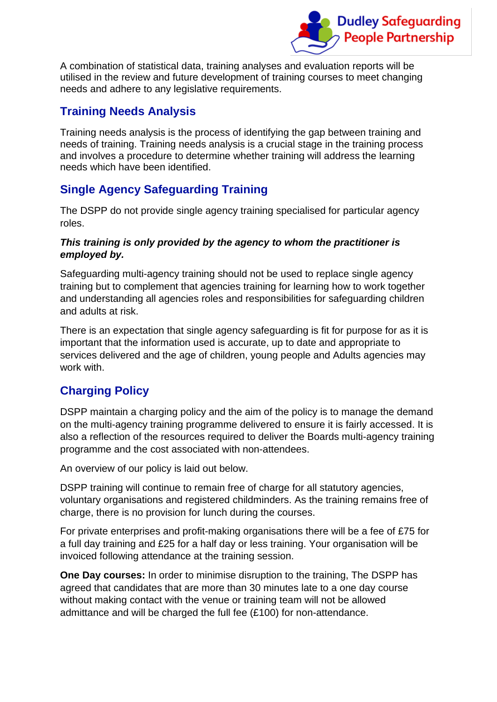

A combination of statistical data, training analyses and evaluation reports will be utilised in the review and future development of training courses to meet changing needs and adhere to any legislative requirements.

## <span id="page-8-0"></span>**Training Needs Analysis**

Training needs analysis is the process of identifying the gap between training and needs of training. Training needs analysis is a crucial stage in the training process and involves a procedure to determine whether training will address the learning needs which have been identified.

## <span id="page-8-1"></span>**Single Agency Safeguarding Training**

The DSPP do not provide single agency training specialised for particular agency roles.

#### *This training is only provided by the agency to whom the practitioner is employed by.*

Safeguarding multi-agency training should not be used to replace single agency training but to complement that agencies training for learning how to work together and understanding all agencies roles and responsibilities for safeguarding children and adults at risk.

There is an expectation that single agency safeguarding is fit for purpose for as it is important that the information used is accurate, up to date and appropriate to services delivered and the age of children, young people and Adults agencies may work with.

## <span id="page-8-2"></span>**Charging Policy**

DSPP maintain a charging policy and the aim of the policy is to manage the demand on the multi-agency training programme delivered to ensure it is fairly accessed. It is also a reflection of the resources required to deliver the Boards multi-agency training programme and the cost associated with non-attendees.

An overview of our policy is laid out below.

DSPP training will continue to remain free of charge for all statutory agencies, voluntary organisations and registered childminders. As the training remains free of charge, there is no provision for lunch during the courses.

For private enterprises and profit-making organisations there will be a fee of £75 for a full day training and £25 for a half day or less training. Your organisation will be invoiced following attendance at the training session.

**One Day courses:** In order to minimise disruption to the training, The DSPP has agreed that candidates that are more than 30 minutes late to a one day course without making contact with the venue or training team will not be allowed admittance and will be charged the full fee (£100) for non-attendance.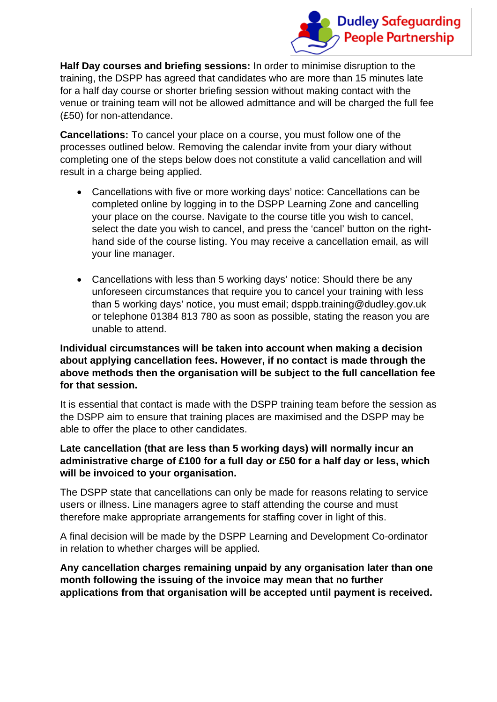

**Half Day courses and briefing sessions:** In order to minimise disruption to the training, the DSPP has agreed that candidates who are more than 15 minutes late for a half day course or shorter briefing session without making contact with the venue or training team will not be allowed admittance and will be charged the full fee (£50) for non-attendance.

**Cancellations:** To cancel your place on a course, you must follow one of the processes outlined below. Removing the calendar invite from your diary without completing one of the steps below does not constitute a valid cancellation and will result in a charge being applied.

- Cancellations with five or more working days' notice: Cancellations can be completed online by logging in to the DSPP Learning Zone and cancelling your place on the course. Navigate to the course title you wish to cancel, select the date you wish to cancel, and press the 'cancel' button on the righthand side of the course listing. You may receive a cancellation email, as will your line manager.
- Cancellations with less than 5 working days' notice: Should there be any unforeseen circumstances that require you to cancel your training with less than 5 working days' notice, you must email; dsppb.training@dudley.gov.uk or telephone 01384 813 780 as soon as possible, stating the reason you are unable to attend.

#### **Individual circumstances will be taken into account when making a decision about applying cancellation fees. However, if no contact is made through the above methods then the organisation will be subject to the full cancellation fee for that session.**

It is essential that contact is made with the DSPP training team before the session as the DSPP aim to ensure that training places are maximised and the DSPP may be able to offer the place to other candidates.

#### **Late cancellation (that are less than 5 working days) will normally incur an administrative charge of £100 for a full day or £50 for a half day or less, which will be invoiced to your organisation.**

The DSPP state that cancellations can only be made for reasons relating to service users or illness. Line managers agree to staff attending the course and must therefore make appropriate arrangements for staffing cover in light of this.

A final decision will be made by the DSPP Learning and Development Co-ordinator in relation to whether charges will be applied.

**Any cancellation charges remaining unpaid by any organisation later than one month following the issuing of the invoice may mean that no further applications from that organisation will be accepted until payment is received.**